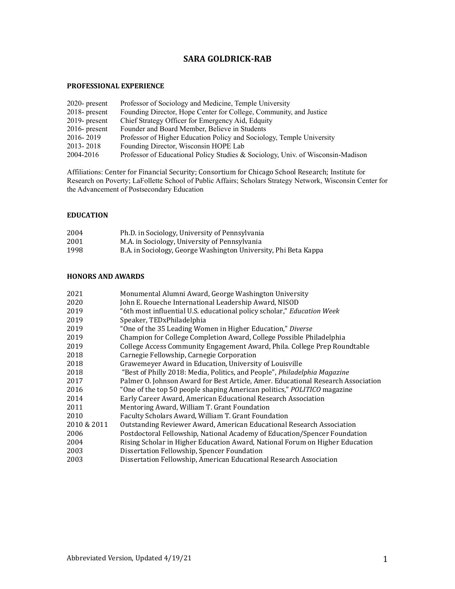# **SARA GOLDRICK-RAB**

# **PROFESSIONAL EXPERIENCE**

| $2020$ - present | Professor of Sociology and Medicine, Temple University                          |
|------------------|---------------------------------------------------------------------------------|
| $2018$ - present | Founding Director, Hope Center for College, Community, and Justice              |
| $2019$ - present | Chief Strategy Officer for Emergency Aid, Edquity                               |
| $2016$ - present | Founder and Board Member, Believe in Students                                   |
| 2016-2019        | Professor of Higher Education Policy and Sociology, Temple University           |
| 2013-2018        | Founding Director, Wisconsin HOPE Lab                                           |
| 2004-2016        | Professor of Educational Policy Studies & Sociology, Univ. of Wisconsin-Madison |

Affiliations: Center for Financial Security; Consortium for Chicago School Research; Institute for Research on Poverty; LaFollette School of Public Affairs; Scholars Strategy Network, Wisconsin Center for the Advancement of Postsecondary Education

# **EDUCATION**

| 2004 | Ph.D. in Sociology, University of Pennsylvania                  |
|------|-----------------------------------------------------------------|
| 2001 | M.A. in Sociology, University of Pennsylvania                   |
| 1998 | B.A. in Sociology, George Washington University, Phi Beta Kappa |

# **HONORS AND AWARDS**

| 2021        | Monumental Alumni Award, George Washington University                            |
|-------------|----------------------------------------------------------------------------------|
| 2020        | John E. Roueche International Leadership Award, NISOD                            |
| 2019        | "6th most influential U.S. educational policy scholar," Education Week           |
| 2019        | Speaker, TEDxPhiladelphia                                                        |
| 2019        | "One of the 35 Leading Women in Higher Education," Diverse                       |
| 2019        | Champion for College Completion Award, College Possible Philadelphia             |
| 2019        | College Access Community Engagement Award, Phila. College Prep Roundtable        |
| 2018        | Carnegie Fellowship, Carnegie Corporation                                        |
| 2018        | Grawemeyer Award in Education, University of Louisville                          |
| 2018        | "Best of Philly 2018: Media, Politics, and People", Philadelphia Magazine        |
| 2017        | Palmer O. Johnson Award for Best Article, Amer. Educational Research Association |
| 2016        | "One of the top 50 people shaping American politics," POLITICO magazine          |
| 2014        | Early Career Award, American Educational Research Association                    |
| 2011        | Mentoring Award, William T. Grant Foundation                                     |
| 2010        | Faculty Scholars Award, William T. Grant Foundation                              |
| 2010 & 2011 | Outstanding Reviewer Award, American Educational Research Association            |
| 2006        | Postdoctoral Fellowship, National Academy of Education/Spencer Foundation        |
| 2004        | Rising Scholar in Higher Education Award, National Forum on Higher Education     |
| 2003        | Dissertation Fellowship, Spencer Foundation                                      |
| 2003        | Dissertation Fellowship, American Educational Research Association               |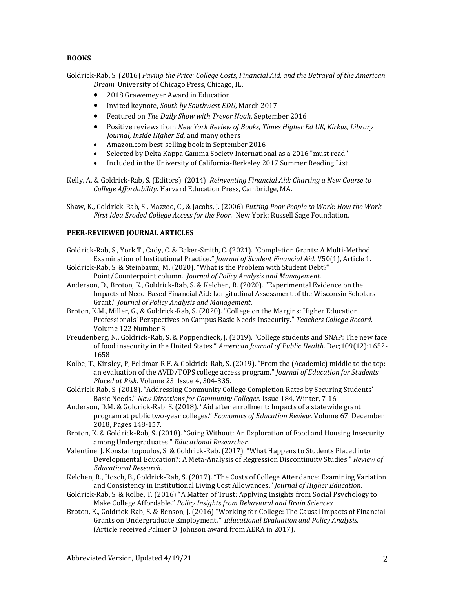# **BOOKS**

Goldrick-Rab, S. (2016) *Paying the Price: College Costs, Financial Aid, and the Betrayal of the American Dream.* University of Chicago Press, Chicago, IL.

- 2018 Grawemeyer Award in Education
- Invited keynote, *South by Southwest EDU*, March 2017
- Featured on *The Daily Show with Trevor Noah*, September 2016
- Positive reviews from *New York Review of Books*, *Times Higher Ed UK, Kirkus, Library Journal, Inside Higher Ed,* and many others
- Amazon.com best-selling book in September 2016
- Selected by Delta Kappa Gamma Society International as a 2016 "must read"
- Included in the University of California-Berkeley 2017 Summer Reading List

Kelly, A. & Goldrick-Rab, S. (Editors). (2014). *Reinventing Financial Aid: Charting a New Course to College Affordability.* Harvard Education Press, Cambridge, MA.

Shaw, K., Goldrick-Rab, S., Mazzeo, C., & Jacobs, J. (2006) *Putting Poor People to Work: How the Work-First Idea Eroded College Access for the Poor.* New York: Russell Sage Foundation.

# **PEER-REVIEWED JOURNAL ARTICLES**

- Goldrick-Rab, S., York T., Cady, C. & Baker-Smith, C. (2021). "Completion Grants: A Multi-Method Examination of Institutional Practice." *Journal of Student Financial Aid.* V50(1), Article 1.
- Goldrick-Rab, S. & Steinbaum, M. (2020). "What is the Problem with Student Debt?" Point/Counterpoint column. *Journal of Policy Analysis and Management*.
- Anderson, D., Broton, K., Goldrick-Rab, S. & Kelchen, R. (2020). "Experimental Evidence on the Impacts of Need-Based Financial Aid: Longitudinal Assessment of the Wisconsin Scholars Grant." *Journal of Policy Analysis and Management*.
- Broton, K.M., Miller, G., & Goldrick-Rab, S. (2020). "College on the Margins: Higher Education Professionals' Perspectives on Campus Basic Needs Insecurity." *Teachers College Record.* Volume 122 Number 3.
- Freudenberg, N., Goldrick-Rab, S. & Poppendieck, J. (2019). "College students and SNAP: The new face of food insecurity in the United States." *American Journal of Public Health*. Dec;109(12):1652- 1658
- Kolbe, T., Kinsley, P, Feldman R.F. & Goldrick-Rab, S. (2019). "From the (Academic) middle to the top: an evaluation of the AVID/TOPS college access program." *Journal of Education for Students Placed at Risk.* Volume 23, Issue 4, 304-335.
- Goldrick-Rab, S. (2018). "Addressing Community College Completion Rates by Securing Students' Basic Needs." *New Directions for Community Colleges*. Issue 184, Winter, 7-16.
- Anderson, D.M. & Goldrick-Rab, S. (2018). "Aid after enrollment: Impacts of a statewide grant program at public two-year colleges." *Economics of Education Review.* Volume 67, December 2018, Pages 148-157.
- Broton, K. & Goldrick-Rab, S. (2018). "Going Without: An Exploration of Food and Housing Insecurity among Undergraduates." *Educational Researcher.*
- Valentine, J. Konstantopoulos, S. & Goldrick-Rab. (2017). "What Happens to Students Placed into Developmental Education?: A Meta-Analysis of Regression Discontinuity Studies." *Review of Educational Research.*
- Kelchen, R., Hosch, B., Goldrick-Rab, S. (2017). "The Costs of College Attendance: Examining Variation and Consistency in Institutional Living Cost Allowances." *Journal of Higher Education*.
- Goldrick-Rab, S. & Kolbe, T. (2016) "A Matter of Trust: Applying Insights from Social Psychology to Make College Affordable." *Policy Insights from Behavioral and Brain Sciences.*
- Broton, K., Goldrick-Rab, S. & Benson, J. (2016) "Working for College: The Causal Impacts of Financial Grants on Undergraduate Employment*." Educational Evaluation and Policy Analysis.*  (Article received Palmer O. Johnson award from AERA in 2017).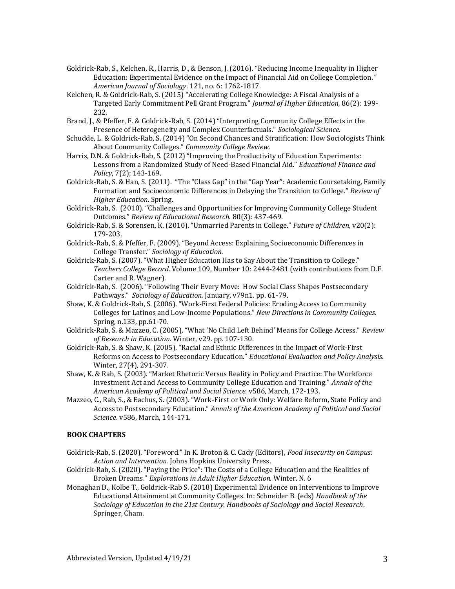- Goldrick-Rab, S., Kelchen, R., Harris, D., & Benson, J. (2016). "Reducing Income Inequality in Higher Education: Experimental Evidence on the Impact of Financial Aid on College Completion*." American Journal of Sociology*. 121, no. 6: 1762-1817.
- Kelchen, R. & Goldrick-Rab, S. (2015) "Accelerating College Knowledge: A Fiscal Analysis of a Targeted Early Commitment Pell Grant Program." *Journal of Higher Education,* 86(2): 199- 232.
- Brand, J., & Pfeffer, F. & Goldrick-Rab, S. (2014) "Interpreting Community College Effects in the Presence of Heterogeneity and Complex Counterfactuals." *Sociological Science.*
- Schudde, L. & Goldrick-Rab, S. (2014) "On Second Chances and Stratification: How Sociologists Think About Community Colleges." *Community College Review.*
- Harris, D.N. & Goldrick-Rab, S. (2012) "Improving the Productivity of Education Experiments: Lessons from a Randomized Study of Need-Based Financial Aid." *Educational Finance and Policy*, 7(2); 143-169.
- Goldrick-Rab, S. & Han, S. (2011). "The "Class Gap" in the "Gap Year": Academic Coursetaking, Family Formation and Socioeconomic Differences in Delaying the Transition to College." *Review of Higher Education*. Spring.
- Goldrick-Rab, S. (2010). "Challenges and Opportunities for Improving Community College Student Outcomes." *Review of Educational Research.* 80(3): 437-469.
- Goldrick-Rab, S. & Sorensen, K. (2010). "Unmarried Parents in College." *Future of Children,* v20(2): 179-203.
- Goldrick-Rab, S. & Pfeffer, F. (2009). "Beyond Access: Explaining Socioeconomic Differences in College Transfer." *Sociology of Education.*
- Goldrick-Rab, S. (2007). "What Higher Education Has to Say About the Transition to College." *Teachers College Record*. Volume 109, Number 10: 2444-2481 (with contributions from D.F. Carter and R. Wagner).
- Goldrick-Rab, S. (2006). "Following Their Every Move: How Social Class Shapes Postsecondary Pathways." *Sociology of Education.* January, v79n1. pp. 61-79.
- Shaw, K. & Goldrick-Rab, S. (2006). "Work-First Federal Policies: Eroding Access to Community Colleges for Latinos and Low-Income Populations." *New Directions in Community Colleges*. Spring, n.133, pp.61-70.
- Goldrick-Rab, S. & Mazzeo, C. (2005). "What 'No Child Left Behind' Means for College Access." *Review of Research in Education*. Winter, v29. pp. 107-130.
- Goldrick-Rab, S. & Shaw, K. (2005). "Racial and Ethnic Differences in the Impact of Work-First Reforms on Access to Postsecondary Education." *Educational Evaluation and Policy Analysis*. Winter, 27(4), 291-307.
- Shaw, K. & Rab, S. (2003). "Market Rhetoric Versus Reality in Policy and Practice: The Workforce Investment Act and Access to Community College Education and Training." *Annals of the American Academy of Political and Social Science.* v586, March, 172-193.
- Mazzeo, C., Rab, S., & Eachus, S. (2003). "Work-First or Work Only: Welfare Reform, State Policy and Access to Postsecondary Education." *Annals of the American Academy of Political and Social Science*. v586, March, 144-171.

# **BOOK CHAPTERS**

- Goldrick-Rab, S. (2020). "Foreword." In K. Broton & C. Cady (Editors), *Food Insecurity on Campus: Action and Intervention.* Johns Hopkins University Press.
- Goldrick-Rab, S. (2020). "Paying the Price": The Costs of a College Education and the Realities of Broken Dreams." *Explorations in Adult Higher Education.* Winter. N. 6
- Monaghan D., Kolbe T., Goldrick-Rab S. (2018) Experimental Evidence on Interventions to Improve Educational Attainment at Community Colleges. In: Schneider B. (eds) *Handbook of the Sociology of Education in the 21st Century. Handbooks of Sociology and Social Research*. Springer, Cham.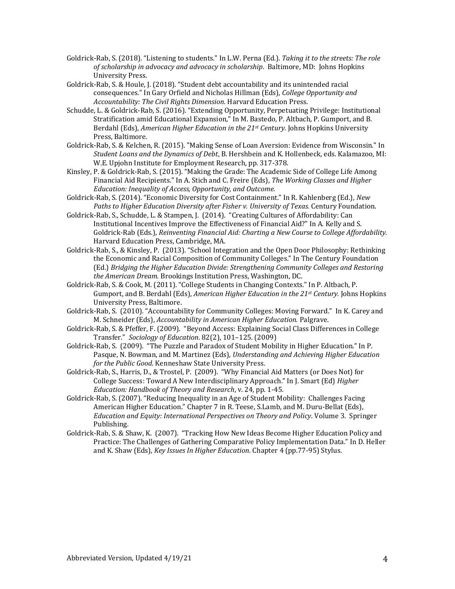- Goldrick-Rab, S. (2018). "Listening to students." In L.W. Perna (Ed.). *Taking it to the streets: The role of scholarship in advocacy and advocacy in scholarship*. Baltimore, MD: Johns Hopkins University Press.
- Goldrick-Rab, S. & Houle, J. (2018). "Student debt accountability and its unintended racial consequences." In Gary Orfield and Nicholas Hillman (Eds), *College Opportunity and Accountability: The Civil Rights Dimension.* Harvard Education Press.
- Schudde, L. & Goldrick-Rab, S. (2016). "Extending Opportunity, Perpetuating Privilege: Institutional Stratification amid Educational Expansion," In M. Bastedo, P. Altbach, P. Gumport, and B. Berdahl (Eds), *American Higher Education in the 21st Century.* Johns Hopkins University Press, Baltimore.
- Goldrick-Rab, S. & Kelchen, R. (2015). "Making Sense of Loan Aversion: Evidence from Wisconsin." In *Student Loans and the Dynamics of Debt*, B. Hershbein and K. Hollenbeck, eds. Kalamazoo, MI: W.E. Upjohn Institute for Employment Research, pp. 317-378.
- Kinsley, P. & Goldrick-Rab, S. (2015). "Making the Grade: The Academic Side of College Life Among Financial Aid Recipients." In A. Stich and C. Freire (Eds), *The Working Classes and Higher Education: Inequality of Access, Opportunity, and Outcome.*
- Goldrick-Rab, S. (2014). "Economic Diversity for Cost Containment." In R. Kahlenberg (Ed.), *New Paths to Higher Education Diversity after Fisher v. University of Texas.* Century Foundation.
- Goldrick-Rab, S., Schudde, L. & Stampen, J. (2014). "Creating Cultures of Affordability: Can Institutional Incentives Improve the Effectiveness of Financial Aid?" In A. Kelly and S. Goldrick-Rab (Eds.), *Reinventing Financial Aid: Charting a New Course to College Affordability.* Harvard Education Press, Cambridge, MA.
- Goldrick-Rab, S., & Kinsley, P. (2013). "School Integration and the Open Door Philosophy: Rethinking the Economic and Racial Composition of Community Colleges." In The Century Foundation (Ed.) *Bridging the Higher Education Divide: Strengthening Community Colleges and Restoring the American Dream.* Brookings Institution Press, Washington, DC.
- Goldrick-Rab, S. & Cook, M. (2011). "College Students in Changing Contexts." In P. Altbach, P. Gumport, and B. Berdahl (Eds), *American Higher Education in the 21st Century.* Johns Hopkins University Press, Baltimore.
- Goldrick-Rab, S. (2010). "Accountability for Community Colleges: Moving Forward." In K. Carey and M. Schneider (Eds), *Accountability in American Higher Education.* Palgrave.
- Goldrick-Rab, S. & Pfeffer, F. (2009). "Beyond Access: Explaining Social Class Differences in College Transfer." *Sociology of Education*. 82(2), 101–125. (2009)
- Goldrick-Rab, S. (2009). "The Puzzle and Paradox of Student Mobility in Higher Education." In P. Pasque, N. Bowman, and M. Martinez (Eds), *Understanding and Achieving Higher Education for the Public Good*. Kenneshaw State University Press.
- Goldrick-Rab, S., Harris, D., & Trostel, P. (2009). "Why Financial Aid Matters (or Does Not) for College Success: Toward A New Interdisciplinary Approach." In J. Smart (Ed) *Higher Education: Handbook of Theory and Research*, v. 24, pp. 1-45.
- Goldrick-Rab, S. (2007). "Reducing Inequality in an Age of Student Mobility: Challenges Facing American Higher Education." Chapter 7 in R. Teese, S.Lamb, and M. Duru-Bellat (Eds), *Education and Equity: International Perspectives on Theory and Policy*. Volume 3. Springer Publishing.
- Goldrick-Rab, S. & Shaw, K. (2007). "Tracking How New Ideas Become Higher Education Policy and Practice: The Challenges of Gathering Comparative Policy Implementation Data." In D. Heller and K. Shaw (Eds), *Key Issues In Higher Education*. Chapter 4 (pp.77-95) Stylus.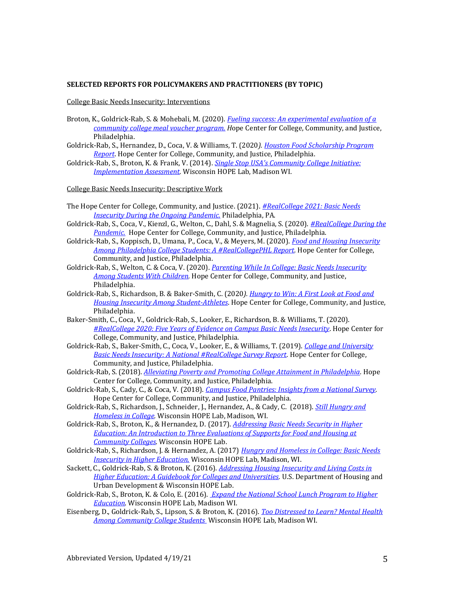#### **SELECTED REPORTS FOR POLICYMAKERS AND PRACTITIONERS (BY TOPIC)**

College Basic Needs Insecurity: Interventions

- Broton, K., Goldrick-Rab, S. & Mohebali, M. (2020). *[Fueling success: An experimental evaluation of a](https://hope4college.com/wp-content/uploads/2020/03/BunkerHill_Report.pdf)  [community college meal voucher program.](https://hope4college.com/wp-content/uploads/2020/03/BunkerHill_Report.pdf) H*ope Center for College, Community, and Justice, Philadelphia.
- Goldrick-Rab, S., Hernandez, D., Coca, V. & Williams, T. (2020*)[. Houston Food Scholarship Program](https://hope4college.com/wp-content/uploads/2020/01/HoustonFoodScholarshipProgramReportFinal.pdf)  [Report](https://hope4college.com/wp-content/uploads/2020/01/HoustonFoodScholarshipProgramReportFinal.pdf)*. Hope Center for College, Community, and Justice, Philadelphia.
- Goldrick-Rab, S., Broton, K. & Frank, V. (2014). *Single Stop USA's Com[munity College Initiative:](https://hope4college.com/single-stop-usas-community-college-initiative/)  [Implementation Assessment.](https://hope4college.com/single-stop-usas-community-college-initiative/)* Wisconsin HOPE Lab, Madison WI.

College Basic Needs Insecurity: Descriptive Work

- The Hope Center for College, Community, and Justice. (2021). *[#RealCollege 2021: Basic Needs](https://hope4college.com/wp-content/uploads/2021/03/RCReport2021.pdf)  [Insecurity During the Ongoing Pandemic.](https://hope4college.com/wp-content/uploads/2021/03/RCReport2021.pdf)* Philadelphia, PA.
- Goldrick-Rab, S., Coca, V., Kienzl, G., Welton, C., Dahl, S. & Magnelia, S. (2020). *[#RealCollege During the](https://hope4college.com/wp-content/uploads/2020/06/HopeCenter_RealCollegeDuringthePandemic.pdf)  [Pandemic.](https://hope4college.com/wp-content/uploads/2020/06/HopeCenter_RealCollegeDuringthePandemic.pdf)* Hope Center for College, Community, and Justice, Philadelphia.
- Goldrick-Rab, S., Koppisch, D., Umana, P., Coca, V., & Meyers, M. (2020). *[Food and Housing Insecurity](https://hope4college.com/food-and-housing-insecurity-among-philadelphia-college-students-a-realcollegephl-report/)  [Among Philadelphia College Students: A #RealCollegePHL Report.](https://hope4college.com/food-and-housing-insecurity-among-philadelphia-college-students-a-realcollegephl-report/)* Hope Center for College, Community, and Justice, Philadelphia.
- Goldrick-Rab, S., Welton, C. & Coca, V. (2020). *[Parenting While In College: Basic Needs Insecurity](https://alliancetoendhunger.org/wp-content/uploads/gravity_forms/13-f8f4825afc84921bd400f00919c81a7a/2020/05/2019_ParentingStudentsReport.pdf)  [Among Students With Children.](https://alliancetoendhunger.org/wp-content/uploads/gravity_forms/13-f8f4825afc84921bd400f00919c81a7a/2020/05/2019_ParentingStudentsReport.pdf)* Hope Center for College, Community, and Justice, Philadelphia.
- Goldrick-Rab, S., Richardson, B. & Baker-Smith, C. (2020*)[. Hungry to Win: A First Look at Food and](https://hope4college.com/wp-content/uploads/2020/04/2019_StudentAthletes_Report.pdf)  [Housing Insecurity Among Student-Athletes](https://hope4college.com/wp-content/uploads/2020/04/2019_StudentAthletes_Report.pdf)*. Hope Center for College, Community, and Justice, Philadelphia.
- Baker-Smith, C., Coca, V., Goldrick-Rab, S., Looker, E., Richardson, B. & Williams, T. (2020). *[#RealCollege 2020: Five Years of Evidence on Campus Basic Needs Insecurity](https://hope4college.com/wp-content/uploads/2020/02/2019_RealCollege_Survey_Report.pdf)*. Hope Center for College, Community, and Justice, Philadelphia.
- Goldrick-Rab, S., Baker-Smith, C., Coca, V., Looker, E., & Williams, T. (2019). *[College and University](https://hope4college.com/college-and-university-basic-needs-insecurity-a-national-realcollege-survey-report/)  [Basic Needs Insecurity: A National #RealCollege Survey Report.](https://hope4college.com/college-and-university-basic-needs-insecurity-a-national-realcollege-survey-report/)* Hope Center for College, Community, and Justice, Philadelphia.
- Goldrick-Rab, S. (2018). *[Alleviating Poverty and Promoting College Attainment in Philadelphia.](https://hope4college.com/wp-content/uploads/2018/09/2018-PhillyReport-web-1.pdf)* Hope Center for College, Community, and Justice, Philadelphia.
- Goldrick-Rab, S., Cady, C., & Coca, V. (2018). *[Campus Food Pantries: Insights from a National Survey.](https://hope4college.com/campus-food-pantries-insights-from-a-national-survey/)*  Hope Center for College, Community, and Justice, Philadelphia.
- Goldrick-Rab, S., Richardson, J., Schneider, J., Hernandez, A., & Cady, C. (2018). *[Still Hungry and](http://wihopelab.com/publications/Wisconsin-HOPE-Lab-Still-Hungry-and-Homeless.pdf)  [Homeless in College.](http://wihopelab.com/publications/Wisconsin-HOPE-Lab-Still-Hungry-and-Homeless.pdf)* Wisconsin HOPE Lab, Madison, WI.
- Goldrick-Rab, S., Broton, K., & Hernandez, D. (2017). *[Addressing Basic Needs Security in Higher](http://wihopelab.com/publications/Addressing-Basic-Needs-Security-in-Higher-Education.pdf)  [Education: An Introduction to Three Evaluations of Supports for Food and Housing at](http://wihopelab.com/publications/Addressing-Basic-Needs-Security-in-Higher-Education.pdf)  [Community Colleges](http://wihopelab.com/publications/Addressing-Basic-Needs-Security-in-Higher-Education.pdf)*. Wisconsin HOPE Lab.
- Goldrick-Rab, S., Richardson, J. & Hernandez, A. (2017) *[Hungry and Homeless in College: Basic Needs](http://wihopelab.com/publications/hungry-and-homeless-in-college-report.pdf)  [Insecurity in Higher Education.](http://wihopelab.com/publications/hungry-and-homeless-in-college-report.pdf)* Wisconsin HOPE Lab, Madison, WI.
- Sackett, C., Goldrick-Rab, S. & Broton, K. (2016). *[Addressing Housing Insecurity and Living Costs in](https://www.huduser.gov/portal/sites/default/files/pdf/HousingInsecurityInHigherEd.pdf)  [Higher Education: A Guidebook for Colleges and Universities.](https://www.huduser.gov/portal/sites/default/files/pdf/HousingInsecurityInHigherEd.pdf)* U.S. Department of Housing and Urban Development & Wisconsin HOPE Lab.
- Goldrick-Rab, S., Broton, K. & Colo, E. (2016). *[Expand the National School Lunch Program to Higher](http://wihopelab.com/publications/Wisconsin-HOPE-Expand-Lunch_Program.pdf)  [Education](http://wihopelab.com/publications/Wisconsin-HOPE-Expand-Lunch_Program.pdf)*. Wisconsin HOPE Lab, Madison WI.
- Eisenberg, D., Goldrick-Rab, S., Lipson, S. & Broton, K. (2016). *[Too Distressed to Learn? Mental Health](http://wihopelab.com/publications/Wisconsin_HOPE_Lab-Too_Distressed_To_Learn.pdf)  [Among Community College Students](http://wihopelab.com/publications/Wisconsin_HOPE_Lab-Too_Distressed_To_Learn.pdf)* Wisconsin HOPE Lab, Madison WI.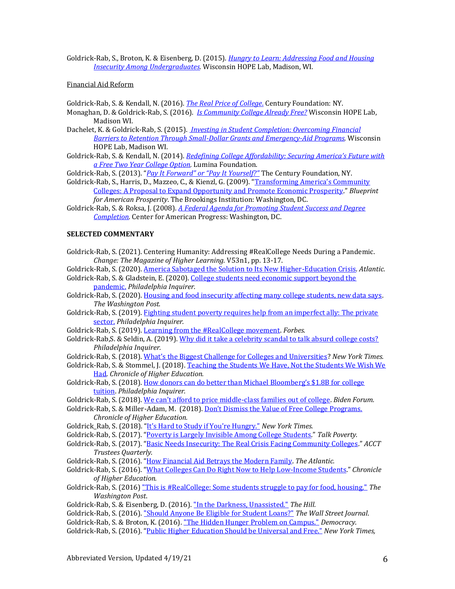Goldrick-Rab, S., Broton, K. & Eisenberg, D. (2015). *[Hungry to Learn: Addressing Food and Housing](https://hope4college.com/hungry-to-learn-addressing-food-housing-insecurity-among-undergraduates/)  [Insecurity Among Undergraduates.](https://hope4college.com/hungry-to-learn-addressing-food-housing-insecurity-among-undergraduates/)* Wisconsin HOPE Lab, Madison, WI.

#### Financial Aid Reform

Goldrick-Rab, S. & Kendall, N. (2016). *[The Real Price of College](https://tcf.org/content/report/the-real-price-of-college/)*. Century Foundation: NY.

Monaghan, D. & Goldrick-Rab, S. (2016). *[Is Community College Already Free?](http://wihopelab.com/publications/Wisconsin_HOPE_Lab_Policy_Brief%2016-01_Is_Community_College_Already_Free.pdf)* Wisconsin HOPE Lab, Madison WI.

- Dachelet, K. & Goldrick-Rab, S. (2015). *[Investing in Student Completion: Overcoming Financial](http://wihopelab.com/publications/Investing-in-Student-Completion-WI-Hope_Lab.pdf)  [Barriers to Retention Through Small-Dollar Grants and Emergency-Aid Programs.](http://wihopelab.com/publications/Investing-in-Student-Completion-WI-Hope_Lab.pdf)* Wisconsin HOPE Lab, Madison WI.
- Goldrick-Rab, S. & Kendall, N. (2014). *[Redefining College Affordability: Securing America's Future with](https://www.luminafoundation.org/files/resources/redefining-college-affordability.pdf)  [a Free Two Year College Option.](https://www.luminafoundation.org/files/resources/redefining-college-affordability.pdf)* Lumina Foundation.

Goldrick-Rab, S. (2013). "*[Pay It Forward" or "Pay It Yourself?"](https://tcf.org/content/commentary/pay-it-forward-or-pay-it-yourself/)* The Century Foundation, NY.

- Goldrick-Rab, S., Harris, D., Mazzeo, C., & Kienzl, G. (2009). ["Transforming America's Community](https://www.brookings.edu/research/transforming-americas-community-colleges-a-federal-policy-proposal-to-expand-opportunity-and-promote-economic-prosperity/)  [Colleges: A Proposal to Expand Opportunity and Promote Economic Prosperity](https://www.brookings.edu/research/transforming-americas-community-colleges-a-federal-policy-proposal-to-expand-opportunity-and-promote-economic-prosperity/)." *Blueprint for American Prosperity*. The Brookings Institution: Washington, DC.
- Goldrick-Rab, S. & Roksa, J. (2008). *[A Federal Agenda for Promoting Student Success and Degree](https://www.americanprogress.org/issues/economy/reports/2008/08/12/4810/a-federal-agenda-for-promoting-student-success-and-degree-completion/)  [Completion.](https://www.americanprogress.org/issues/economy/reports/2008/08/12/4810/a-federal-agenda-for-promoting-student-success-and-degree-completion/)* Center for American Progress: Washington, DC.

### **SELECTED COMMENTARY**

- Goldrick-Rab, S. (2021). Centering Humanity: Addressing #RealCollege Needs During a Pandemic. *Change: The Magazine of Higher Learning.* V53n1, pp. 13-17.
- Goldrick-Rab, S. (2020)[. America Sabotaged the Solution to Its New Higher-Education Crisis.](https://www.theatlantic.com/ideas/archive/2020/05/community-colleges-could-help-students-through-pandemic/611884/) *Atlantic.*
- Goldrick-Rab, S. & Gladstein, E. (2020). [College students need economic support beyond the](https://www.inquirer.com/opinion/commentary/coronavirus-college-students-hunger-snap-graduation-20200428.html)  [pandemic.](https://www.inquirer.com/opinion/commentary/coronavirus-college-students-hunger-snap-graduation-20200428.html) *Philadelphia Inquirer.*
- Goldrick-Rab, S. (2020)[. Housing and food insecurity affecting many college students, new data says.](https://www.washingtonpost.com/education/2020/02/20/housing-food-insecurity-affecting-many-college-students-new-data-says/) *The Washington Post.*
- Goldrick-Rab, S. (2019). Fighting student poverty requires help from an imperfect ally: The private [sector.](https://www.inquirer.com/opinion/commentary/college-student-poverty-hunger-cash-assistance-20191121.html) *Philadelphia Inquirer.*
- Goldrick-Rab, S. (2019)[. Learning from the #RealCollege movement.](https://www.forbes.com/sites/civicnation/2019/11/07/learning-from-the-realcollege-movement/) *Forbes.*
- Goldrick-Rab, S. & Seldin, A. (2019)[. Why did it take a celebrity scandal to talk absurd college costs?](https://www.inquirer.com/opinion/commentary/college-admissions-scandal-cost-student-debt-20190314.html) *Philadelphia Inquirer.*
- Goldrick-Rab, S. (2018). [What's the Biggest Challenge for Colleges and Universities](https://www.nytimes.com/2018/06/05/education/learning/biggest-challenge-for-colleges-and-universities.html?nytmobile=0)? *New York Times.*
- Goldrick-Rab, S. & Stommel, J. (2018). [Teaching the Students We Have, Not the Students We Wish We](https://www.chronicle.com/article/Teaching-the-Students-We-Have/245290)  [Had.](https://www.chronicle.com/article/Teaching-the-Students-We-Have/245290) *Chronicle of Higher Education.*
- Goldrick-Rab, S. (2018). How donors can do better than Michael Bloomberg's \$1.8B for college [tuition.](https://www.inquirer.com/philly/opinion/commentary/michael-bloomberg-donation-billion-financial-aid-johns-hopkins-university-20181128.html) *Philadelphia Inquirer.*
- Goldrick-Rab, S. (2018). [We can't afford to price middle](https://bidenforum.org/we-cant-afford-to-price-middle-class-families-out-of-college-9c6e7e787452?gi=8ce972ded023)-class families out of college. *Biden Forum.*
- Goldrick-Rab, S. & Miller-Adam, M. (2018). [Don't Dismiss the Value of Free College Programs.](https://www.chronicle.com/article/Don-t-Dismiss-the-Value-of/244468?cid=pm&utm_source=pm&utm_medium=en&elqTrackId=daa7afac58644e10bd37a40ecd683688&elq=deddcd425ee4486ead0394eba44314ca&elqaid=20413&elqat=1&elqCampaignId=9593) *Chronicle of Higher Education.*
- Goldrick\_Rab, S. (2018). ["It's Hard to Study if You're Hungry."](https://www.nytimes.com/2018/01/14/opinion/hunger-college-food-insecurity.html?_r=0) *New York Times.*
- Goldrick-Rab, S. (2017). "[Poverty is Largely Invisible Among College Students](https://talkpoverty.org/2017/11/07/poverty-largely-invisible-among-college-students/)." *Talk Poverty.*
- Goldrick-Rab, S. (2017). "[Basic Needs Insecurity: The Real Crisis Facing Community Colleges](https://www.acct.org/files/Publications/Trustee%20Quarterly/2017/Summer%2017/Basic%20Needs%20Insecurity.pdf)." *ACCT Trustees Quarterly.*
- Goldrick-Rab, S. (2016). "[How Financial Aid Betrays the Modern Family.](http://www.theatlantic.com/education/archive/2016/09/how-financial-aid-betrays-the-modern-family/501818/) *The Atlantic.*
- Goldrick-Rab, S. (2016). "[What Colleges Can Do Right Now to Help Low-Income Students](http://www.chronicle.com/article/What-Colleges-Can-Do-Right-Now/237589)." *Chronicle of Higher Education.*
- Goldrick-Rab, S. (2016) ["This is #RealCollege: Some students struggle to pay for food, housing."](https://www.washingtonpost.com/news/grade-point/wp/2016/05/10/this-is-realcollege-students-facing-food-and-housing-insecurity/) *The Washington Post*.
- Goldrick-Rab, S. & Eisenberg, D. (2016). ["In the Darkness, Unassisted."](http://thehill.com/blogs/congress-blog/education/271815-in-the-darkness-unassisted) *The Hill.*
- Goldrick-Rab, S. (2016). ["Should Anyone Be Eligible for Student Loans?"](http://www.wsj.com/articles/should-anyone-be-eligible-for-student-loans-1456715824) *The Wall Street Journal*.
- Goldrick-Rab, S. & Broton, K. (2016). ["The Hidden Hunger Problem on Campus."](http://democracyjournal.org/arguments/the-hidden-hunger-problem-on-campus/) *Democracy*.
- Goldrick-Rab, S. (2016). "[Public Higher Education Should be Universal and](https://www.nytimes.com/roomfordebate/2016/01/20/should-college-be-free/public-higher-education-should-be-universal-and-free) Free." *New York Times,*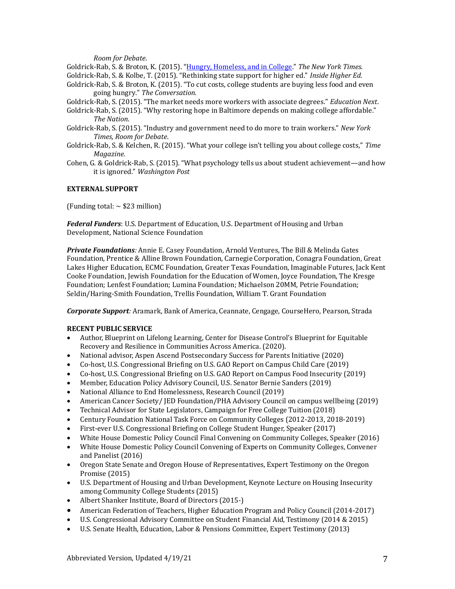*Room for Debate*.

Goldrick-Rab, S. & Broton, K. (2015). "[Hungry, Homeless, and in College](https://www.nytimes.com/2015/12/04/opinion/hungry-homeless-and-in-college.html)." *The New York Times.*

- Goldrick-Rab, S. & Kolbe, T. (2015). "Rethinking state support for higher ed." *Inside Higher Ed.*
- Goldrick-Rab, S. & Broton, K. (2015). "To cut costs, college students are buying less food and even going hungry." *The Conversation*.
- Goldrick-Rab, S. (2015). "The market needs more workers with associate degrees." *Education Next*.
- Goldrick-Rab, S. (2015). "Why restoring hope in Baltimore depends on making college affordable." *The Nation*.
- Goldrick-Rab, S. (2015). "Industry and government need to do more to train workers." *New York Times, Room for Debate*.
- Goldrick-Rab, S. & Kelchen, R. (2015). "What your college isn't telling you about college costs," *Time Magazine.*
- Cohen, G. & Goldrick-Rab, S. (2015). "What psychology tells us about student achievement—and how it is ignored." *Washington Post*

# **EXTERNAL SUPPORT**

(Funding total:  $\sim$  \$23 million)

*Federal Funders*: U.S. Department of Education, U.S. Department of Housing and Urban Development, National Science Foundation

*Private Foundations:* Annie E. Casey Foundation, Arnold Ventures, The Bill & Melinda Gates Foundation, Prentice & Alline Brown Foundation, Carnegie Corporation, Conagra Foundation, Great Lakes Higher Education, ECMC Foundation, Greater Texas Foundation, Imaginable Futures, Jack Kent Cooke Foundation, Jewish Foundation for the Education of Women, Joyce Foundation, The Kresge Foundation; Lenfest Foundation; Lumina Foundation; Michaelson 20MM, Petrie Foundation; Seldin/Haring-Smith Foundation, Trellis Foundation, William T. Grant Foundation

*Corporate Support:* Aramark, Bank of America, Ceannate, Cengage, CourseHero, Pearson, Strada

# **RECENT PUBLIC SERVICE**

- Author, Blueprint on Lifelong Learning, Center for Disease Control's Blueprint for Equitable Recovery and Resilience in Communities Across America. (2020).
- National advisor, Aspen Ascend Postsecondary Success for Parents Initiative (2020)
- Co-host, U.S. Congressional Briefing on U.S. GAO Report on Campus Child Care (2019)
- Co-host, U.S. Congressional Briefing on U.S. GAO Report on Campus Food Insecurity (2019)
- Member, Education Policy Advisory Council, U.S. Senator Bernie Sanders (2019)
- National Alliance to End Homelessness, Research Council (2019)
- American Cancer Society / JED Foundation / PHA Advisory Council on campus wellbeing (2019)
- Technical Advisor for State Legislators, Campaign for Free College Tuition (2018)
- Century Foundation National Task Force on Community Colleges (2012-2013, 2018-2019)
- First-ever U.S. Congressional Briefing on College Student Hunger, Speaker (2017)
- White House Domestic Policy Council Final Convening on Community Colleges, Speaker (2016)
- White House Domestic Policy Council Convening of Experts on Community Colleges, Convener and Panelist (2016)
- Oregon State Senate and Oregon House of Representatives, Expert Testimony on the Oregon Promise (2015)
- U.S. Department of Housing and Urban Development, Keynote Lecture on Housing Insecurity among Community College Students (2015)
- Albert Shanker Institute, Board of Directors (2015-)
- American Federation of Teachers, Higher Education Program and Policy Council (2014-2017)
- U.S. Congressional Advisory Committee on Student Financial Aid, Testimony (2014 & 2015)
- U.S. Senate Health, Education, Labor & Pensions Committee, Expert Testimony (2013)